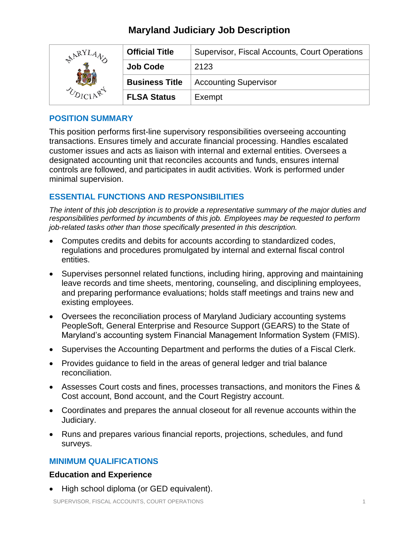| NARYLAN | <b>Official Title</b> | Supervisor, Fiscal Accounts, Court Operations |
|---------|-----------------------|-----------------------------------------------|
|         | <b>Job Code</b>       | 2123                                          |
|         | <b>Business Title</b> | <b>Accounting Supervisor</b>                  |
|         | <b>FLSA Status</b>    | Exempt                                        |

## **POSITION SUMMARY**

This position performs first-line supervisory responsibilities overseeing accounting transactions. Ensures timely and accurate financial processing. Handles escalated customer issues and acts as liaison with internal and external entities. Oversees a designated accounting unit that reconciles accounts and funds, ensures internal controls are followed, and participates in audit activities. Work is performed under minimal supervision.

## **ESSENTIAL FUNCTIONS AND RESPONSIBILITIES**

*The intent of this job description is to provide a representative summary of the major duties and responsibilities performed by incumbents of this job. Employees may be requested to perform job-related tasks other than those specifically presented in this description.*

- Computes credits and debits for accounts according to standardized codes, regulations and procedures promulgated by internal and external fiscal control entities.
- Supervises personnel related functions, including hiring, approving and maintaining leave records and time sheets, mentoring, counseling, and disciplining employees, and preparing performance evaluations; holds staff meetings and trains new and existing employees.
- Oversees the reconciliation process of Maryland Judiciary accounting systems PeopleSoft, General Enterprise and Resource Support (GEARS) to the State of Maryland's accounting system Financial Management Information System (FMIS).
- Supervises the Accounting Department and performs the duties of a Fiscal Clerk.
- Provides guidance to field in the areas of general ledger and trial balance reconciliation.
- Assesses Court costs and fines, processes transactions, and monitors the Fines & Cost account, Bond account, and the Court Registry account.
- Coordinates and prepares the annual closeout for all revenue accounts within the Judiciary.
- Runs and prepares various financial reports, projections, schedules, and fund surveys.

## **MINIMUM QUALIFICATIONS**

## **Education and Experience**

• High school diploma (or GED equivalent).

SUPERVISOR, FISCAL ACCOUNTS, COURT OPERATIONS 1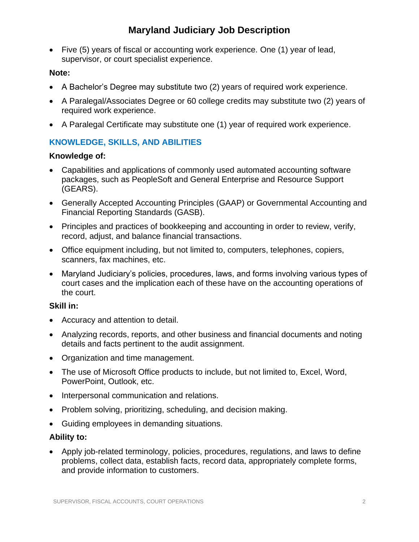• Five (5) years of fiscal or accounting work experience. One (1) year of lead, supervisor, or court specialist experience.

### **Note:**

- A Bachelor's Degree may substitute two (2) years of required work experience.
- A Paralegal/Associates Degree or 60 college credits may substitute two (2) years of required work experience.
- A Paralegal Certificate may substitute one (1) year of required work experience.

# **KNOWLEDGE, SKILLS, AND ABILITIES**

#### **Knowledge of:**

- Capabilities and applications of commonly used automated accounting software packages, such as PeopleSoft and General Enterprise and Resource Support (GEARS).
- Generally Accepted Accounting Principles (GAAP) or Governmental Accounting and Financial Reporting Standards (GASB).
- Principles and practices of bookkeeping and accounting in order to review, verify, record, adjust, and balance financial transactions.
- Office equipment including, but not limited to, computers, telephones, copiers, scanners, fax machines, etc.
- Maryland Judiciary's policies, procedures, laws, and forms involving various types of court cases and the implication each of these have on the accounting operations of the court.

## **Skill in:**

- Accuracy and attention to detail.
- Analyzing records, reports, and other business and financial documents and noting details and facts pertinent to the audit assignment.
- Organization and time management.
- The use of Microsoft Office products to include, but not limited to, Excel, Word, PowerPoint, Outlook, etc.
- Interpersonal communication and relations.
- Problem solving, prioritizing, scheduling, and decision making.
- Guiding employees in demanding situations.

## **Ability to:**

• Apply job-related terminology, policies, procedures, regulations, and laws to define problems, collect data, establish facts, record data, appropriately complete forms, and provide information to customers.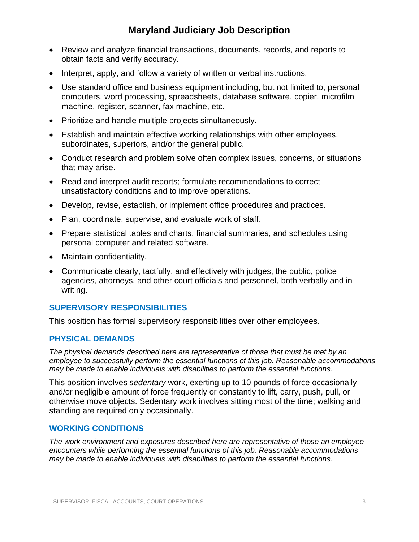- Review and analyze financial transactions, documents, records, and reports to obtain facts and verify accuracy.
- Interpret, apply, and follow a variety of written or verbal instructions.
- Use standard office and business equipment including, but not limited to, personal computers, word processing, spreadsheets, database software, copier, microfilm machine, register, scanner, fax machine, etc.
- Prioritize and handle multiple projects simultaneously.
- Establish and maintain effective working relationships with other employees, subordinates, superiors, and/or the general public.
- Conduct research and problem solve often complex issues, concerns, or situations that may arise.
- Read and interpret audit reports; formulate recommendations to correct unsatisfactory conditions and to improve operations.
- Develop, revise, establish, or implement office procedures and practices.
- Plan, coordinate, supervise, and evaluate work of staff.
- Prepare statistical tables and charts, financial summaries, and schedules using personal computer and related software.
- Maintain confidentiality.
- Communicate clearly, tactfully, and effectively with judges, the public, police agencies, attorneys, and other court officials and personnel, both verbally and in writing.

## **SUPERVISORY RESPONSIBILITIES**

This position has formal supervisory responsibilities over other employees.

#### **PHYSICAL DEMANDS**

*The physical demands described here are representative of those that must be met by an employee to successfully perform the essential functions of this job. Reasonable accommodations may be made to enable individuals with disabilities to perform the essential functions.*

This position involves *sedentary* work, exerting up to 10 pounds of force occasionally and/or negligible amount of force frequently or constantly to lift, carry, push, pull, or otherwise move objects. Sedentary work involves sitting most of the time; walking and standing are required only occasionally.

#### **WORKING CONDITIONS**

*The work environment and exposures described here are representative of those an employee encounters while performing the essential functions of this job. Reasonable accommodations may be made to enable individuals with disabilities to perform the essential functions.*